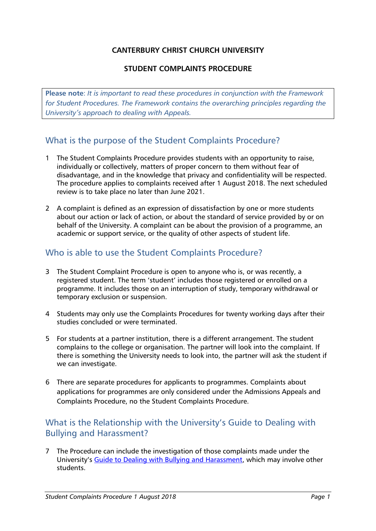#### **CANTERBURY CHRIST CHURCH UNIVERSITY**

#### **STUDENT COMPLAINTS PROCEDURE**

**Please note**: *It is important to read these procedures in conjunction with the Framework for Student Procedures. The Framework contains the overarching principles regarding the University's approach to dealing with Appeals.*

# What is the purpose of the Student Complaints Procedure?

- 1 The Student Complaints Procedure provides students with an opportunity to raise, individually or collectively, matters of proper concern to them without fear of disadvantage, and in the knowledge that privacy and confidentiality will be respected. The procedure applies to complaints received after 1 August 2018. The next scheduled review is to take place no later than June 2021.
- 2 A complaint is defined as an expression of dissatisfaction by one or more students about our action or lack of action, or about the standard of service provided by or on behalf of the University. A complaint can be about the provision of a programme, an academic or support service, or the quality of other aspects of student life.

### Who is able to use the Student Complaints Procedure?

- 3 The Student Complaint Procedure is open to anyone who is, or was recently, a registered student. The term 'student' includes those registered or enrolled on a programme. It includes those on an interruption of study, temporary withdrawal or temporary exclusion or suspension.
- 4 Students may only use the Complaints Procedures for twenty working days after their studies concluded or were terminated.
- 5 For students at a partner institution, there is a different arrangement. The student complains to the college or organisation. The partner will look into the complaint. If there is something the University needs to look into, the partner will ask the student if we can investigate.
- 6 There are separate procedures for applicants to programmes. Complaints about applications for programmes are only considered under the Admissions Appeals and Complaints Procedure, no the Student Complaints Procedure.

# What is the Relationship with the University's Guide to Dealing with Bullying and Harassment?

7 The Procedure can include the investigation of those complaints made under the University's [Guide to Dealing with Bullying and Harassment,](https://www.canterbury.ac.uk/students/docs/Student-Guide-to-Bullying-and-Harrassmentv1.docx) which may involve other students.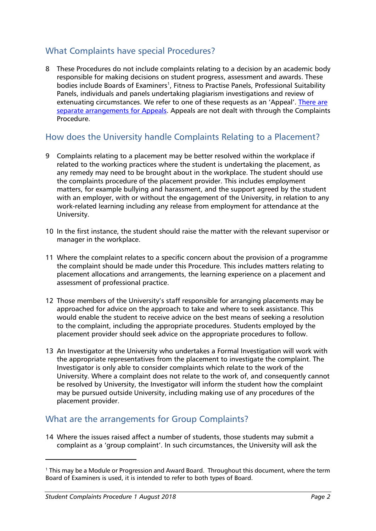# What Complaints have special Procedures?

8 These Procedures do not include complaints relating to a decision by an academic body responsible for making decisions on student progress, assessment and awards. These bodies include Boards of Examiners<sup>1</sup>, Fitness to Practise Panels, Professional Suitability Panels, individuals and panels undertaking plagiarism investigations and review of extenuating circumstances. We refer to one of these requests as an 'Appeal'. [There are](http://www.canterbury.ac.uk/students/academic-services/coursework-and-examinations/Initiating-an-academic-appeal.aspx) [separate arrangements for Appeals.](http://www.canterbury.ac.uk/students/academic-services/coursework-and-examinations/Initiating-an-academic-appeal.aspx) Appeals are not dealt with through the Complaints Procedure.

### How does the University handle Complaints Relating to a Placement?

- 9 Complaints relating to a placement may be better resolved within the workplace if related to the working practices where the student is undertaking the placement, as any remedy may need to be brought about in the workplace. The student should use the complaints procedure of the placement provider. This includes employment matters, for example bullying and harassment, and the support agreed by the student with an employer, with or without the engagement of the University, in relation to any work-related learning including any release from employment for attendance at the University.
- 10 In the first instance, the student should raise the matter with the relevant supervisor or manager in the workplace.
- 11 Where the complaint relates to a specific concern about the provision of a programme the complaint should be made under this Procedure. This includes matters relating to placement allocations and arrangements, the learning experience on a placement and assessment of professional practice.
- 12 Those members of the University's staff responsible for arranging placements may be approached for advice on the approach to take and where to seek assistance. This would enable the student to receive advice on the best means of seeking a resolution to the complaint, including the appropriate procedures. Students employed by the placement provider should seek advice on the appropriate procedures to follow.
- 13 An Investigator at the University who undertakes a Formal Investigation will work with the appropriate representatives from the placement to investigate the complaint. The Investigator is only able to consider complaints which relate to the work of the University. Where a complaint does not relate to the work of, and consequently cannot be resolved by University, the Investigator will inform the student how the complaint may be pursued outside University, including making use of any procedures of the placement provider.

### What are the arrangements for Group Complaints?

14 Where the issues raised affect a number of students, those students may submit a complaint as a 'group complaint'. In such circumstances, the University will ask the

<sup>1</sup> This may be a Module or Progression and Award Board. Throughout this document, where the term Board of Examiners is used, it is intended to refer to both types of Board.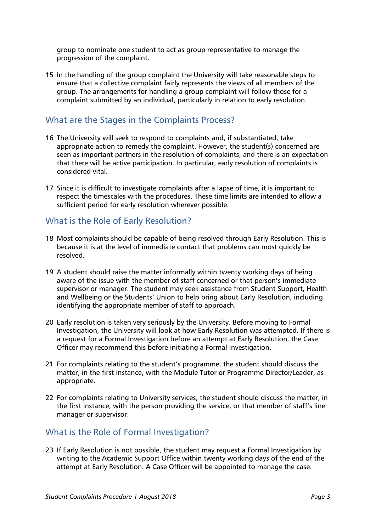group to nominate one student to act as group representative to manage the progression of the complaint.

15 In the handling of the group complaint the University will take reasonable steps to ensure that a collective complaint fairly represents the views of all members of the group. The arrangements for handling a group complaint will follow those for a complaint submitted by an individual, particularly in relation to early resolution.

### What are the Stages in the Complaints Process?

- 16 The University will seek to respond to complaints and, if substantiated, take appropriate action to remedy the complaint. However, the student(s) concerned are seen as important partners in the resolution of complaints, and there is an expectation that there will be active participation. In particular, early resolution of complaints is considered vital.
- 17 Since it is difficult to investigate complaints after a lapse of time, it is important to respect the timescales with the procedures. These time limits are intended to allow a sufficient period for early resolution wherever possible.

#### What is the Role of Early Resolution?

- 18 Most complaints should be capable of being resolved through Early Resolution. This is because it is at the level of immediate contact that problems can most quickly be resolved.
- 19 A student should raise the matter informally within twenty working days of being aware of the issue with the member of staff concerned or that person's immediate supervisor or manager. The student may seek assistance from Student Support, Health and Wellbeing or the Students' Union to help bring about Early Resolution, including identifying the appropriate member of staff to approach.
- 20 Early resolution is taken very seriously by the University. Before moving to Formal Investigation, the University will look at how Early Resolution was attempted. If there is a request for a Formal Investigation before an attempt at Early Resolution, the Case Officer may recommend this before initiating a Formal Investigation.
- 21 For complaints relating to the student's programme, the student should discuss the matter, in the first instance, with the Module Tutor or Programme Director/Leader, as appropriate.
- 22 For complaints relating to University services, the student should discuss the matter, in the first instance, with the person providing the service, or that member of staff's line manager or supervisor.

#### What is the Role of Formal Investigation?

23 If Early Resolution is not possible, the student may request a Formal Investigation by writing to the Academic Support Office within twenty working days of the end of the attempt at Early Resolution. A Case Officer will be appointed to manage the case.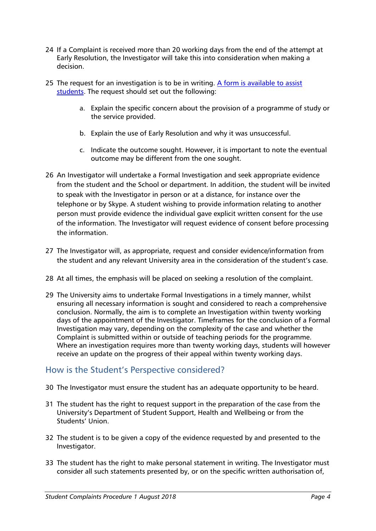- 24 If a Complaint is received more than 20 working days from the end of the attempt at Early Resolution, the Investigator will take this into consideration when making a decision.
- 25 The request for an investigation is to be in writing. A form is available to assist [students.](http://www.canterbury.ac.uk/students/docs/Complaints-Form-v-1.0.docx) The request should set out the following:
	- a. Explain the specific concern about the provision of a programme of study or the service provided.
	- b. Explain the use of Early Resolution and why it was unsuccessful.
	- c. Indicate the outcome sought. However, it is important to note the eventual outcome may be different from the one sought.
- 26 An Investigator will undertake a Formal Investigation and seek appropriate evidence from the student and the School or department. In addition, the student will be invited to speak with the Investigator in person or at a distance, for instance over the telephone or by Skype. A student wishing to provide information relating to another person must provide evidence the individual gave explicit written consent for the use of the information. The Investigator will request evidence of consent before processing the information.
- 27 The Investigator will, as appropriate, request and consider evidence/information from the student and any relevant University area in the consideration of the student's case.
- 28 At all times, the emphasis will be placed on seeking a resolution of the complaint.
- 29 The University aims to undertake Formal Investigations in a timely manner, whilst ensuring all necessary information is sought and considered to reach a comprehensive conclusion. Normally, the aim is to complete an Investigation within twenty working days of the appointment of the Investigator. Timeframes for the conclusion of a Formal Investigation may vary, depending on the complexity of the case and whether the Complaint is submitted within or outside of teaching periods for the programme. Where an investigation requires more than twenty working days, students will however receive an update on the progress of their appeal within twenty working days.

### How is the Student's Perspective considered?

- 30 The Investigator must ensure the student has an adequate opportunity to be heard.
- 31 The student has the right to request support in the preparation of the case from the University's Department of Student Support, Health and Wellbeing or from the Students' Union.
- 32 The student is to be given a copy of the evidence requested by and presented to the Investigator.
- 33 The student has the right to make personal statement in writing. The Investigator must consider all such statements presented by, or on the specific written authorisation of,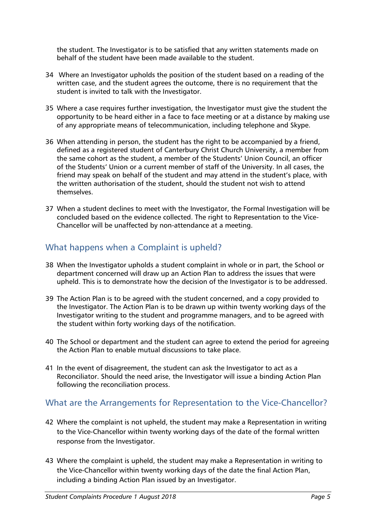the student. The Investigator is to be satisfied that any written statements made on behalf of the student have been made available to the student.

- 34 Where an Investigator upholds the position of the student based on a reading of the written case, and the student agrees the outcome, there is no requirement that the student is invited to talk with the Investigator.
- 35 Where a case requires further investigation, the Investigator must give the student the opportunity to be heard either in a face to face meeting or at a distance by making use of any appropriate means of telecommunication, including telephone and Skype.
- 36 When attending in person, the student has the right to be accompanied by a friend, defined as a registered student of Canterbury Christ Church University, a member from the same cohort as the student, a member of the Students' Union Council, an officer of the Students' Union or a current member of staff of the University. In all cases, the friend may speak on behalf of the student and may attend in the student's place, with the written authorisation of the student, should the student not wish to attend themselves.
- 37 When a student declines to meet with the Investigator, the Formal Investigation will be concluded based on the evidence collected. The right to Representation to the Vice-Chancellor will be unaffected by non-attendance at a meeting.

# What happens when a Complaint is upheld?

- 38 When the Investigator upholds a student complaint in whole or in part, the School or department concerned will draw up an Action Plan to address the issues that were upheld. This is to demonstrate how the decision of the Investigator is to be addressed.
- 39 The Action Plan is to be agreed with the student concerned, and a copy provided to the Investigator. The Action Plan is to be drawn up within twenty working days of the Investigator writing to the student and programme managers, and to be agreed with the student within forty working days of the notification.
- 40 The School or department and the student can agree to extend the period for agreeing the Action Plan to enable mutual discussions to take place.
- 41 In the event of disagreement, the student can ask the Investigator to act as a Reconciliator. Should the need arise, the Investigator will issue a binding Action Plan following the reconciliation process.

# What are the Arrangements for Representation to the Vice-Chancellor?

- 42 Where the complaint is not upheld, the student may make a Representation in writing to the Vice-Chancellor within twenty working days of the date of the formal written response from the Investigator.
- 43 Where the complaint is upheld, the student may make a Representation in writing to the Vice-Chancellor within twenty working days of the date the final Action Plan, including a binding Action Plan issued by an Investigator.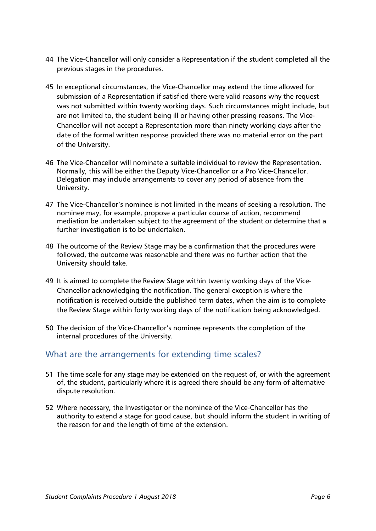- 44 The Vice-Chancellor will only consider a Representation if the student completed all the previous stages in the procedures.
- 45 In exceptional circumstances, the Vice-Chancellor may extend the time allowed for submission of a Representation if satisfied there were valid reasons why the request was not submitted within twenty working days. Such circumstances might include, but are not limited to, the student being ill or having other pressing reasons. The Vice-Chancellor will not accept a Representation more than ninety working days after the date of the formal written response provided there was no material error on the part of the University.
- 46 The Vice-Chancellor will nominate a suitable individual to review the Representation. Normally, this will be either the Deputy Vice-Chancellor or a Pro Vice-Chancellor. Delegation may include arrangements to cover any period of absence from the University.
- 47 The Vice-Chancellor's nominee is not limited in the means of seeking a resolution. The nominee may, for example, propose a particular course of action, recommend mediation be undertaken subject to the agreement of the student or determine that a further investigation is to be undertaken.
- 48 The outcome of the Review Stage may be a confirmation that the procedures were followed, the outcome was reasonable and there was no further action that the University should take.
- 49 It is aimed to complete the Review Stage within twenty working days of the Vice-Chancellor acknowledging the notification. The general exception is where the notification is received outside the published term dates, when the aim is to complete the Review Stage within forty working days of the notification being acknowledged.
- 50 The decision of the Vice-Chancellor's nominee represents the completion of the internal procedures of the University.

### What are the arrangements for extending time scales?

- 51 The time scale for any stage may be extended on the request of, or with the agreement of, the student, particularly where it is agreed there should be any form of alternative dispute resolution.
- 52 Where necessary, the Investigator or the nominee of the Vice-Chancellor has the authority to extend a stage for good cause, but should inform the student in writing of the reason for and the length of time of the extension.